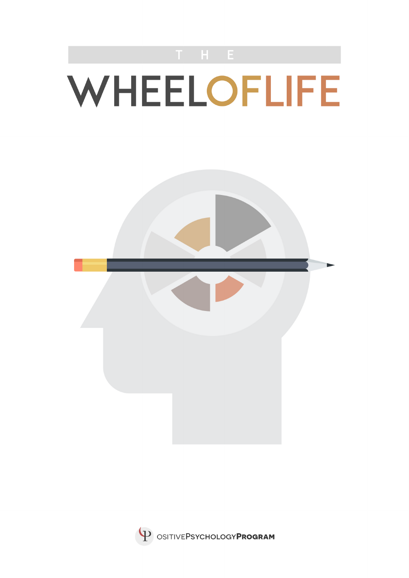



P OSITIVEPSYCHOLOGYPROGRAM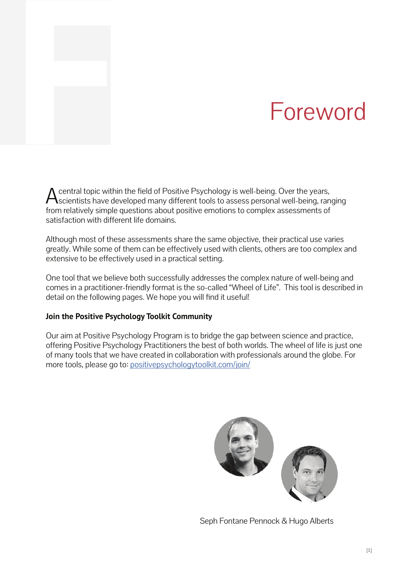# **F** Foreword

A central topic within the field of Positive Psychology is well-being. Over the years,<br>Scientists have developed many different tools to assess personal well-being, ranging from relatively simple questions about positive emotions to complex assessments of satisfaction with different life domains.

Although most of these assessments share the same objective, their practical use varies greatly. While some of them can be effectively used with clients, others are too complex and extensive to be effectively used in a practical setting.

One tool that we believe both successfully addresses the complex nature of well-being and comes in a practitioner-friendly format is the so-called "Wheel of Life". This tool is described in detail on the following pages. We hope you will find it useful!

### **Join the Positive Psychology Toolkit Community**

Our aim at Positive Psychology Program is to bridge the gap between science and practice, offering Positive Psychology Practitioners the best of both worlds. The wheel of life is just one of many tools that we have created in collaboration with professionals around the globe. For more tools, please go to: positivepsychologytoolkit.com/join/



Seph Fontane Pennock & Hugo Alberts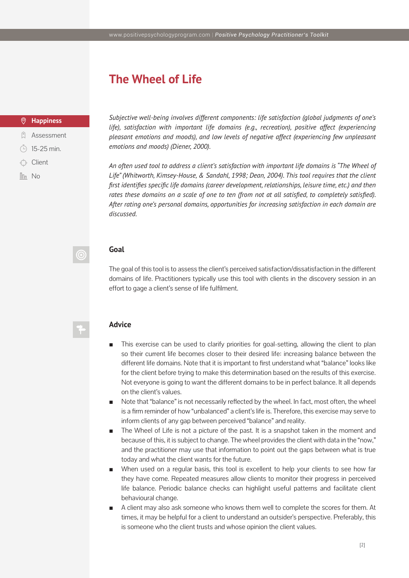# **The Wheel of Life**

### $\odot$ **Happiness**

- **Q** Assessment
- $(4)$  15-25 min.
- $\leftrightarrow$  Client
- $\ln$  No

*Subjective well-being involves different components: life satisfaction (global judgments of one's life), satisfaction with important life domains (e.g., recreation), positive affect (experiencing pleasant emotions and moods), and low levels of negative affect (experiencing few unpleasant emotions and moods) (Diener, 2000).* 

*An often used tool to address a client's satisfaction with important life domains is "The Wheel of Life" (Whitworth, Kimsey-House, & Sandahl, 1998; Dean, 2004). This tool requires that the client first identifies specific life domains (career development, relationships, leisure time, etc.) and then rates these domains on a scale of one to ten (from not at all satisfied, to completely satisfied). After rating one's personal domains, opportunities for increasing satisfaction in each domain are discussed.*

### **Goal**

(O

The goal of this tool is to assess the client's perceived satisfaction/dissatisfaction in the different domains of life. Practitioners typically use this tool with clients in the discovery session in an effort to gage a client's sense of life fulfilment.

### **Advice**

- This exercise can be used to clarify priorities for goal-setting, allowing the client to plan so their current life becomes closer to their desired life: increasing balance between the different life domains. Note that it is important to first understand what "balance" looks like for the client before trying to make this determination based on the results of this exercise. Not everyone is going to want the different domains to be in perfect balance. It all depends on the client's values.
- Note that "balance" is not necessarily reflected by the wheel. In fact, most often, the wheel is a firm reminder of how "unbalanced" a client's life is. Therefore, this exercise may serve to inform clients of any gap between perceived "balance" and reality.
- The Wheel of Life is not a picture of the past. It is a snapshot taken in the moment and because of this, it is subject to change. The wheel provides the client with data in the "now," and the practitioner may use that information to point out the gaps between what is true today and what the client wants for the future.
- When used on a regular basis, this tool is excellent to help your clients to see how far they have come. Repeated measures allow clients to monitor their progress in perceived life balance. Periodic balance checks can highlight useful patterns and facilitate client behavioural change.
- A client may also ask someone who knows them well to complete the scores for them. At times, it may be helpful for a client to understand an outsider's perspective. Preferably, this is someone who the client trusts and whose opinion the client values.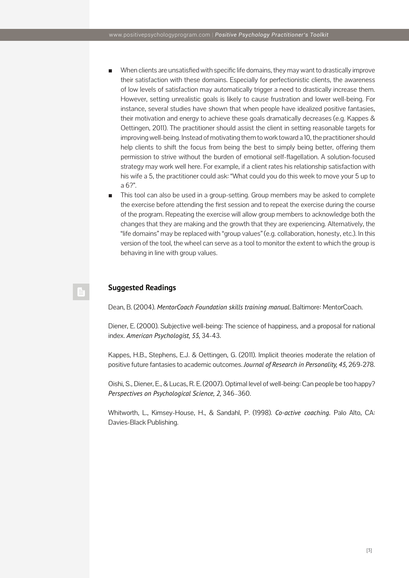- When clients are unsatisfied with specific life domains, they may want to drastically improve their satisfaction with these domains. Especially for perfectionistic clients, the awareness of low levels of satisfaction may automatically trigger a need to drastically increase them. However, setting unrealistic goals is likely to cause frustration and lower well-being. For instance, several studies have shown that when people have idealized positive fantasies, their motivation and energy to achieve these goals dramatically decreases (e.g. Kappes & Oettingen, 2011). The practitioner should assist the client in setting reasonable targets for improving well-being. Instead of motivating them to work toward a 10, the practitioner should help clients to shift the focus from being the best to simply being better, offering them permission to strive without the burden of emotional self-flagellation. A solution-focused strategy may work well here. For example, if a client rates his relationship satisfaction with his wife a 5, the practitioner could ask: "What could you do this week to move your 5 up to a 6?".
- This tool can also be used in a group-setting. Group members may be asked to complete the exercise before attending the first session and to repeat the exercise during the course of the program. Repeating the exercise will allow group members to acknowledge both the changes that they are making and the growth that they are experiencing. Alternatively, the "life domains" may be replaced with "group values" (e.g. collaboration, honesty, etc.). In this version of the tool, the wheel can serve as a tool to monitor the extent to which the group is behaving in line with group values.

### **Suggested Readings**

Dean, B. (2004). *MentorCoach Foundation skills training manual.* Baltimore: MentorCoach.

Diener, E. (2000). Subjective well-being: The science of happiness, and a proposal for national index. *American Psychologist, 55,* 34-43.

Kappes, H.B., Stephens, E.J. & Oettingen, G. (2011). Implicit theories moderate the relation of positive future fantasies to academic outcomes. *Journal of Research in Personality, 45,* 269-278.

Oishi, S., Diener, E., & Lucas, R. E. (2007). Optimal level of well-being: Can people be too happy? *Perspectives on Psychological Science, 2,* 346–360.

Whitworth, L., Kimsey-House, H., & Sandahl, P. (1998). *Co-active coaching.* Palo Alto, CA: Davies-Black Publishing.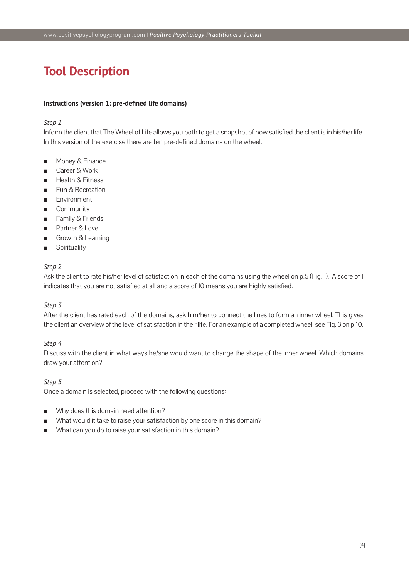# **Tool Description**

### **Instructions (version 1: pre-defined life domains)**

### *Step 1*

Inform the client that The Wheel of Life allows you both to get a snapshot of how satisfied the client is in his/her life. In this version of the exercise there are ten pre-defined domains on the wheel:

- Money & Finance
- Career & Work
- **Health & Fitness**
- Fun & Recreation
- Environment
- Community
- Family & Friends
- Partner & Love
- Growth & Learning
- **Spirituality**

### *Step 2*

Ask the client to rate his/her level of satisfaction in each of the domains using the wheel on p.5 (Fig. 1). A score of 1 indicates that you are not satisfied at all and a score of 10 means you are highly satisfied.

### *Step 3*

After the client has rated each of the domains, ask him/her to connect the lines to form an inner wheel. This gives the client an overview of the level of satisfaction in their life. For an example of a completed wheel, see Fig. 3 on p.10.

### *Step 4*

Discuss with the client in what ways he/she would want to change the shape of the inner wheel. Which domains draw your attention?

### *Step 5*

Once a domain is selected, proceed with the following questions:

- Why does this domain need attention?
- What would it take to raise your satisfaction by one score in this domain?
- What can you do to raise your satisfaction in this domain?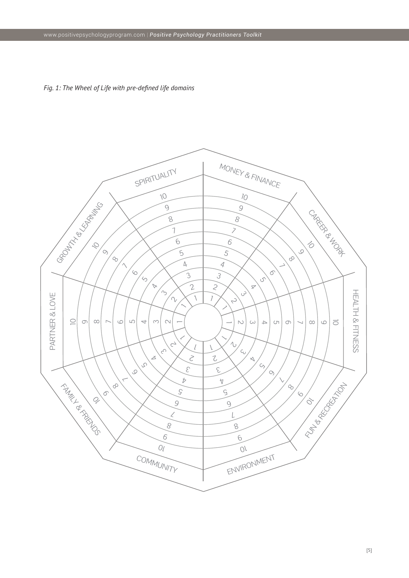

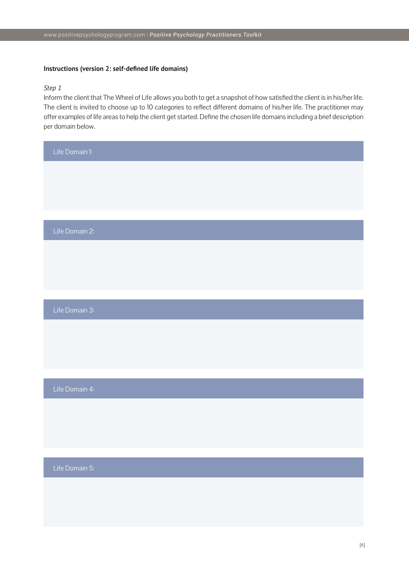### **Instructions (version 2: self-defined life domains)**

### *Step 1*

Inform the client that The Wheel of Life allows you both to get a snapshot of how satisfied the client is in his/her life. The client is invited to choose up to 10 categories to reflect different domains of his/her life. The practitioner may offer examples of life areas to help the client get started. Define the chosen life domains including a brief description per domain below.

| Life Domain 1: |
|----------------|
|                |
|                |
|                |
| Life Domain 2: |
|                |
|                |
|                |
| Life Domain 3: |
|                |
|                |
|                |
| Life Domain 4: |
|                |
|                |
|                |
| Life Domain 5: |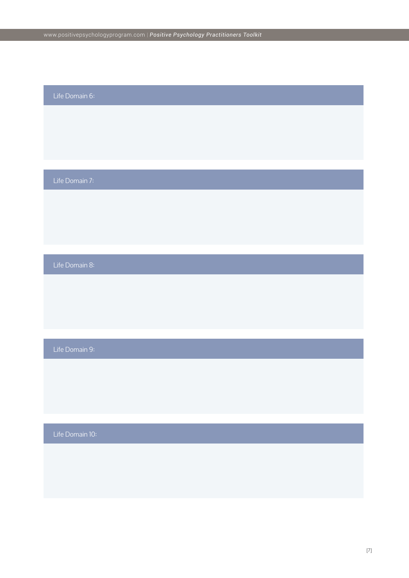## Life Domain 6:

Life Domain 7:

Life Domain 8:

Life Domain 9:

Life Domain 10: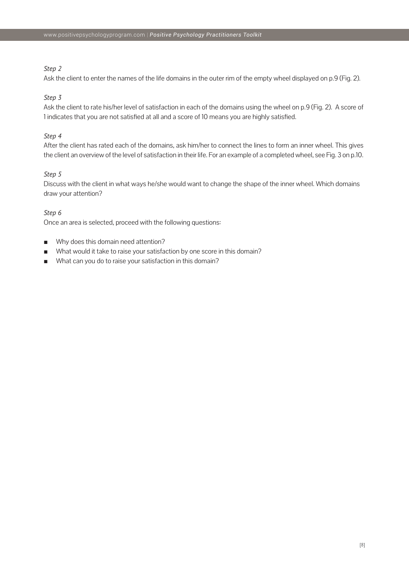### *Step 2*

Ask the client to enter the names of the life domains in the outer rim of the empty wheel displayed on p.9 (Fig. 2).

### *Step 3*

Ask the client to rate his/her level of satisfaction in each of the domains using the wheel on p.9 (Fig. 2). A score of 1 indicates that you are not satisfied at all and a score of 10 means you are highly satisfied.

### *Step 4*

After the client has rated each of the domains, ask him/her to connect the lines to form an inner wheel. This gives the client an overview of the level of satisfaction in their life. For an example of a completed wheel, see Fig. 3 on p.10.

### *Step 5*

Discuss with the client in what ways he/she would want to change the shape of the inner wheel. Which domains draw your attention?

### *Step 6*

Once an area is selected, proceed with the following questions:

- Why does this domain need attention?
- What would it take to raise your satisfaction by one score in this domain?
- What can you do to raise your satisfaction in this domain?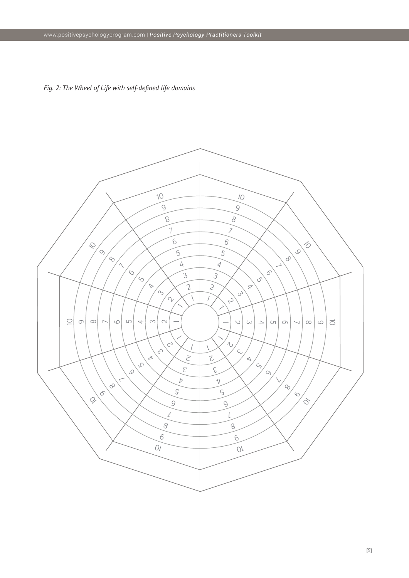*Fig. 2: The Wheel of Life with self-defined life domains*